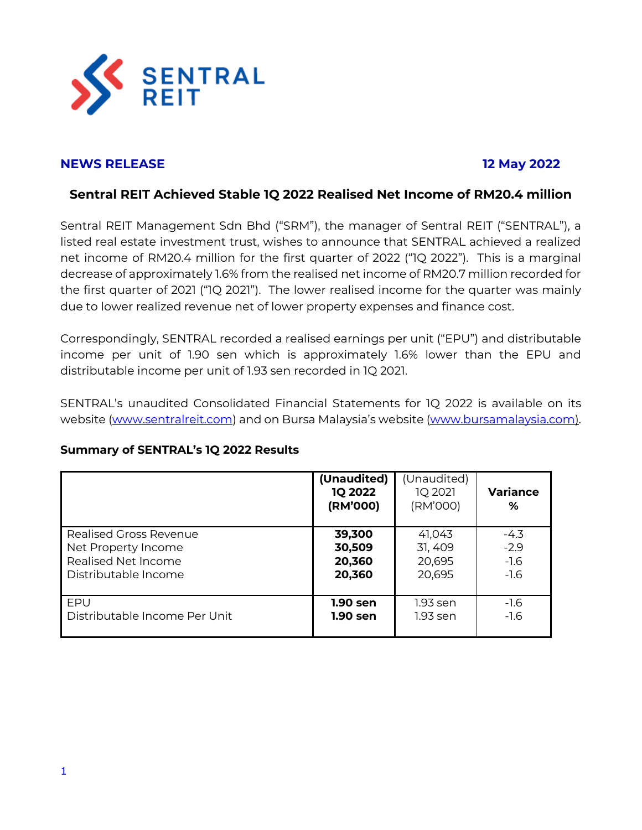

# **NEWS RELEASE 12 May 2022**

# **Sentral REIT Achieved Stable 1Q 2022 Realised Net Income of RM20.4 million**

Sentral REIT Management Sdn Bhd ("SRM"), the manager of Sentral REIT ("SENTRAL"), a listed real estate investment trust, wishes to announce that SENTRAL achieved a realized net income of RM20.4 million for the first quarter of 2022 ("1Q 2022"). This is a marginal decrease of approximately 1.6% from the realised net income of RM20.7 million recorded for the first quarter of 2021 ("1Q 2021"). The lower realised income for the quarter was mainly due to lower realized revenue net of lower property expenses and finance cost.

Correspondingly, SENTRAL recorded a realised earnings per unit ("EPU") and distributable income per unit of 1.90 sen which is approximately 1.6% lower than the EPU and distributable income per unit of 1.93 sen recorded in 1Q 2021.

SENTRAL's unaudited Consolidated Financial Statements for 1Q 2022 is available on its website [\(www.sentralreit.com\)](http://www.sentralreit.com/) and on Bursa Malaysia's website ([www.bursamalaysia.com\)](http://www.bursamalaysia.com/).

## **Summary of SENTRAL's 1Q 2022 Results**

|                               | (Unaudited)<br><b>1Q 2022</b><br>(RM'000) | (Unaudited)<br>1Q 2021<br>(RM'000) | <b>Variance</b><br>% |
|-------------------------------|-------------------------------------------|------------------------------------|----------------------|
| <b>Realised Gross Revenue</b> | 39,300                                    | 41,043                             | $-4.3$               |
| Net Property Income           | 30,509                                    | 31, 409                            | $-2.9$               |
| Realised Net Income           | 20,360                                    | 20,695                             | $-1.6$               |
| Distributable Income          | 20,360                                    | 20,695                             | $-1.6$               |
| FPU                           | 1.90 sen                                  | 1.93 sen                           | $-1.6$               |
| Distributable Income Per Unit | 1.90 sen                                  | 1.93 sen                           | $-1.6$               |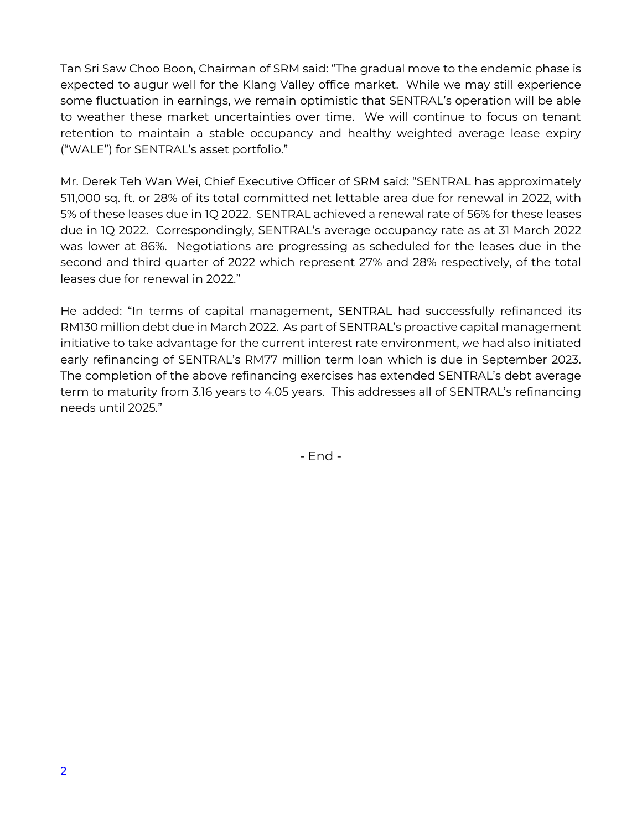Tan Sri Saw Choo Boon, Chairman of SRM said: "The gradual move to the endemic phase is expected to augur well for the Klang Valley office market. While we may still experience some fluctuation in earnings, we remain optimistic that SENTRAL's operation will be able to weather these market uncertainties over time. We will continue to focus on tenant retention to maintain a stable occupancy and healthy weighted average lease expiry ("WALE") for SENTRAL's asset portfolio."

Mr. Derek Teh Wan Wei, Chief Executive Officer of SRM said: "SENTRAL has approximately 511,000 sq. ft. or 28% of its total committed net lettable area due for renewal in 2022, with 5% of these leases due in 1Q 2022. SENTRAL achieved a renewal rate of 56% for these leases due in 1Q 2022. Correspondingly, SENTRAL's average occupancy rate as at 31 March 2022 was lower at 86%. Negotiations are progressing as scheduled for the leases due in the second and third quarter of 2022 which represent 27% and 28% respectively, of the total leases due for renewal in 2022."

He added: "In terms of capital management, SENTRAL had successfully refinanced its RM130 million debt due in March 2022. As part of SENTRAL's proactive capital management initiative to take advantage for the current interest rate environment, we had also initiated early refinancing of SENTRAL's RM77 million term loan which is due in September 2023. The completion of the above refinancing exercises has extended SENTRAL's debt average term to maturity from 3.16 years to 4.05 years. This addresses all of SENTRAL's refinancing needs until 2025."

- End -